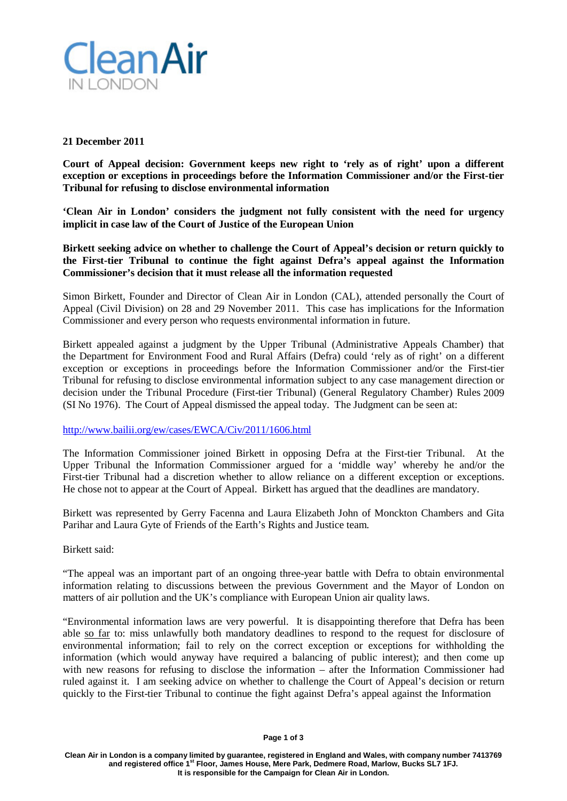

### **21 December 2011**

**Court of Appeal decision: Government keeps new right to 'rely as of right' upon a different exception or exceptions in proceedings before the Information Commissioner and/or the First-tier Tribunal for refusing to disclose environmental information**

**'Clean Air in London' considers the judgment not fully consistent with the need for urgency implicit in case law of the Court of Justice of the European Union**

**Birkett seeking advice on whether to challenge the Court of Appeal's decision or return quickly to the First-tier Tribunal to continue the fight against Defra's appeal against the Information Commissioner's decision that it must release all the information requested**

Simon Birkett, Founder and Director of Clean Air in London (CAL), attended personally the Court of Appeal (Civil Division) on 28 and 29 November 2011. This case has implications for the Information Commissioner and every person who requests environmental information in future.

Birkett appealed against a judgment by the Upper Tribunal (Administrative Appeals Chamber) that the Department for Environment Food and Rural Affairs (Defra) could 'rely as of right' on a different exception or exceptions in proceedings before the Information Commissioner and/or the First-tier Tribunal for refusing to disclose environmental information subject to any case management direction or decision under the Tribunal Procedure (First-tier Tribunal) (General Regulatory Chamber) Rules 2009 (SI No 1976). The Court of Appeal dismissed the appeal today. The Judgment can be seen at:

### <http://www.bailii.org/ew/cases/EWCA/Civ/2011/1606.html>

The Information Commissioner joined Birkett in opposing Defra at the First-tier Tribunal. At the Upper Tribunal the Information Commissioner argued for a 'middle way' whereby he and/or the First-tier Tribunal had a discretion whether to allow reliance on a different exception or exceptions. He chose not to appear at the Court of Appeal. Birkett has argued that the deadlines are mandatory.

Birkett was represented by Gerry Facenna and Laura Elizabeth John of Monckton Chambers and Gita Parihar and Laura Gyte of Friends of the Earth's Rights and Justice team.

Birkett said:

"The appeal was an important part of an ongoing three-year battle with Defra to obtain environmental information relating to discussions between the previous Government and the Mayor of London on matters of air pollution and the UK's compliance with European Union air quality laws.

"Environmental information laws are very powerful. It is disappointing therefore that Defra has been able so far to: miss unlawfully both mandatory deadlines to respond to the request for disclosure of environmental information; fail to rely on the correct exception or exceptions for withholding the information (which would anyway have required a balancing of public interest); and then come up with new reasons for refusing to disclose the information – after the Information Commissioner had ruled against it. I am seeking advice on whether to challenge the Court of Appeal's decision or return quickly to the First-tier Tribunal to continue the fight against Defra's appeal against the Information

**Clean Air in London is a company limited by guarantee, registered in England and Wales, with company number 7413769 and registered office 1st Floor, James House, Mere Park, Dedmere Road, Marlow, Bucks SL7 1FJ. It is responsible for the Campaign for Clean Air in London.**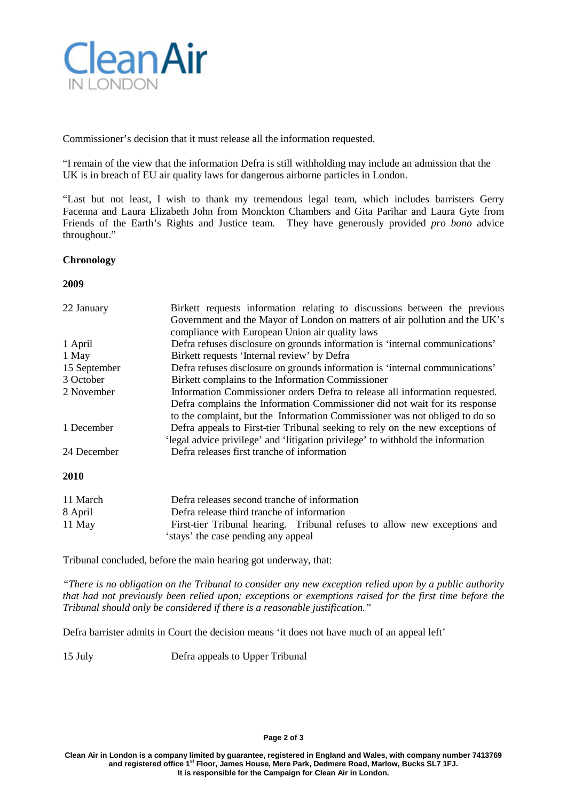

Commissioner's decision that it must release all the information requested.

"I remain of the view that the information Defra is still withholding may include an admission that the UK is in breach of EU air quality laws for dangerous airborne particles in London.

"Last but not least, I wish to thank my tremendous legal team, which includes barristers Gerry Facenna and Laura Elizabeth John from Monckton Chambers and Gita Parihar and Laura Gyte from Friends of the Earth's Rights and Justice team. They have generously provided *pro bono* advice throughout."

### **Chronology**

**2009**

| 22 January   | Birkett requests information relating to discussions between the previous       |  |
|--------------|---------------------------------------------------------------------------------|--|
|              | Government and the Mayor of London on matters of air pollution and the UK's     |  |
|              | compliance with European Union air quality laws                                 |  |
| 1 April      | Defra refuses disclosure on grounds information is 'internal communications'    |  |
| 1 May        | Birkett requests 'Internal review' by Defra                                     |  |
| 15 September | Defra refuses disclosure on grounds information is 'internal communications'    |  |
| 3 October    | Birkett complains to the Information Commissioner                               |  |
| 2 November   | Information Commissioner orders Defra to release all information requested.     |  |
|              | Defra complains the Information Commissioner did not wait for its response      |  |
|              | to the complaint, but the Information Commissioner was not obliged to do so     |  |
| 1 December   | Defra appeals to First-tier Tribunal seeking to rely on the new exceptions of   |  |
|              | 'legal advice privilege' and 'litigation privilege' to withhold the information |  |
| 24 December  | Defra releases first tranche of information                                     |  |
| 2010         |                                                                                 |  |

| 11 March | Defra releases second tranche of information                              |
|----------|---------------------------------------------------------------------------|
| 8 April  | Defra release third tranche of information                                |
| 11 May   | First-tier Tribunal hearing. Tribunal refuses to allow new exceptions and |
|          | 'stays' the case pending any appeal                                       |

Tribunal concluded, before the main hearing got underway, that:

*"There is no obligation on the Tribunal to consider any new exception relied upon by a public authority that had not previously been relied upon; exceptions or exemptions raised for the first time before the Tribunal should only be considered if there is a reasonable justification."*

Defra barrister admits in Court the decision means 'it does not have much of an appeal left'

15 July Defra appeals to Upper Tribunal